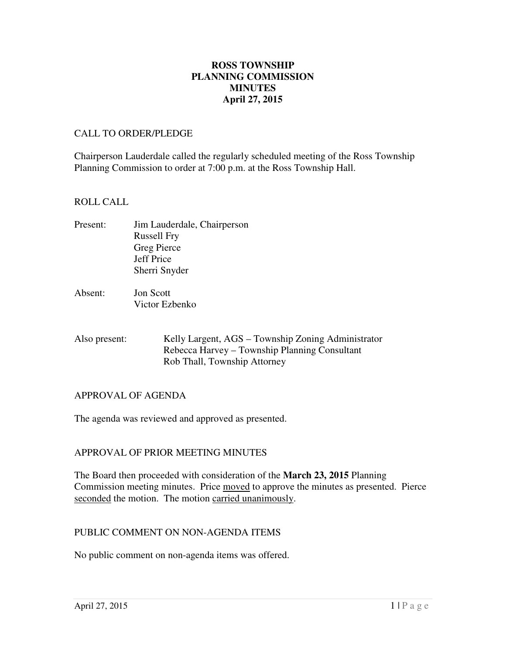# **April 27, 2015 ROSS TOWNSHIP PLANNING COMMISSION MINUTES**

#### CALL TO ORDER/PLEDGE

 Chairperson Lauderdale called the regularly scheduled meeting of the Ross Township Planning Commission to order at 7:00 p.m. at the Ross Township Hall.

#### ROLL CALL

- Present: Russell Fry Greg Pierce Sherri Snyder Jim Lauderdale, Chairperson Jeff Price
- Absent: Victor Ezbenko **Jon Scott**
- Also present: Kelly Largent, AGS – Township Zoning Administrator Rebecca Harvey – Township Planning Consultant Rob Thall, Township Attorney

#### APPROVAL OF AGENDA

The agenda was reviewed and approved as presented.

# APPROVAL OF PRIOR MEETING MINUTES

 The Board then proceeded with consideration of the **March 23, 2015** Planning Commission meeting minutes. Price moved to approve the minutes as presented. Pierce seconded the motion. The motion carried unanimously.

#### PUBLIC COMMENT ON NON-AGENDA ITEMS

No public comment on non-agenda items was offered.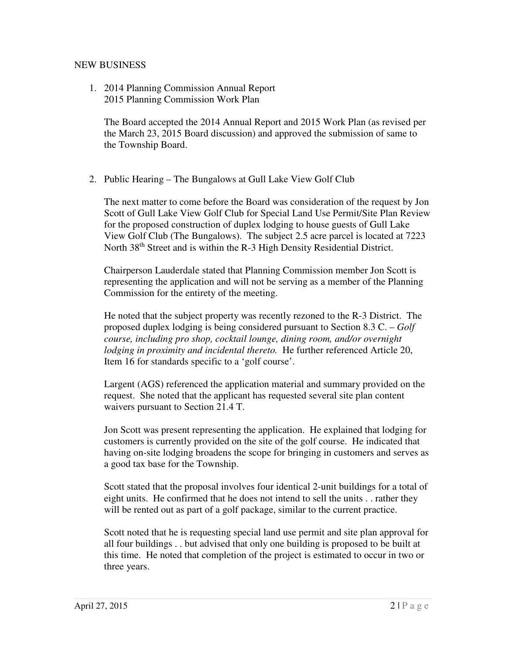# NEW BUSINESS

 1. 2014 Planning Commission Annual Report 2015 Planning Commission Work Plan

 The Board accepted the 2014 Annual Report and 2015 Work Plan (as revised per the March 23, 2015 Board discussion) and approved the submission of same to the Township Board.

2. Public Hearing – The Bungalows at Gull Lake View Golf Club

 The next matter to come before the Board was consideration of the request by Jon Scott of Gull Lake View Golf Club for Special Land Use Permit/Site Plan Review for the proposed construction of duplex lodging to house guests of Gull Lake View Golf Club (The Bungalows). The subject 2.5 acre parcel is located at 7223 North 38<sup>th</sup> Street and is within the R-3 High Density Residential District.

 Chairperson Lauderdale stated that Planning Commission member Jon Scott is representing the application and will not be serving as a member of the Planning Commission for the entirety of the meeting.

 He noted that the subject property was recently rezoned to the R-3 District. The proposed duplex lodging is being considered pursuant to Section 8.3 C. – *Golf course, including pro shop, cocktail lounge, dining room, and/or overnight lodging in proximity and incidental thereto.* He further referenced Article 20, Item 16 for standards specific to a 'golf course'.

 Largent (AGS) referenced the application material and summary provided on the request. She noted that the applicant has requested several site plan content waivers pursuant to Section 21.4 T.

 Jon Scott was present representing the application. He explained that lodging for customers is currently provided on the site of the golf course. He indicated that having on-site lodging broadens the scope for bringing in customers and serves as a good tax base for the Township.

 Scott stated that the proposal involves four identical 2-unit buildings for a total of eight units. He confirmed that he does not intend to sell the units . . rather they will be rented out as part of a golf package, similar to the current practice.

 Scott noted that he is requesting special land use permit and site plan approval for all four buildings . . but advised that only one building is proposed to be built at this time. He noted that completion of the project is estimated to occur in two or three years.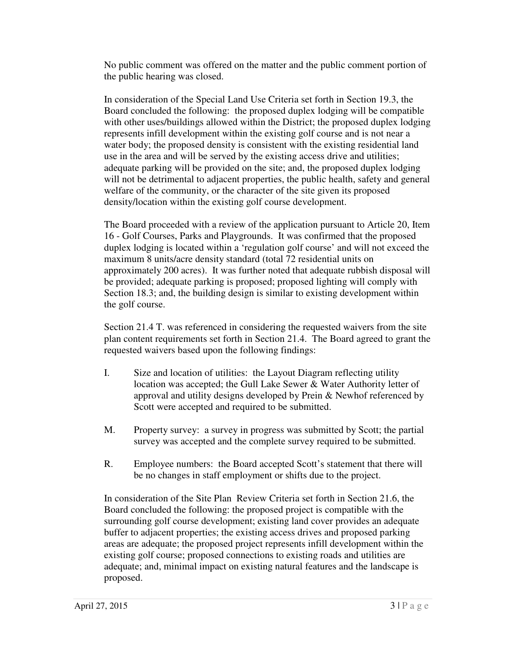No public comment was offered on the matter and the public comment portion of the public hearing was closed.

 In consideration of the Special Land Use Criteria set forth in Section 19.3, the Board concluded the following: the proposed duplex lodging will be compatible with other uses/buildings allowed within the District; the proposed duplex lodging represents infill development within the existing golf course and is not near a water body; the proposed density is consistent with the existing residential land use in the area and will be served by the existing access drive and utilities; adequate parking will be provided on the site; and, the proposed duplex lodging will not be detrimental to adjacent properties, the public health, safety and general welfare of the community, or the character of the site given its proposed density/location within the existing golf course development.

 The Board proceeded with a review of the application pursuant to Article 20, Item 16 - Golf Courses, Parks and Playgrounds. It was confirmed that the proposed duplex lodging is located within a 'regulation golf course' and will not exceed the maximum 8 units/acre density standard (total 72 residential units on approximately 200 acres). It was further noted that adequate rubbish disposal will be provided; adequate parking is proposed; proposed lighting will comply with Section 18.3; and, the building design is similar to existing development within the golf course.

 Section 21.4 T. was referenced in considering the requested waivers from the site plan content requirements set forth in Section 21.4. The Board agreed to grant the requested waivers based upon the following findings:

- I. Size and location of utilities: the Layout Diagram reflecting utility location was accepted; the Gull Lake Sewer & Water Authority letter of approval and utility designs developed by Prein & Newhof referenced by Scott were accepted and required to be submitted.
- M. Property survey: a survey in progress was submitted by Scott; the partial survey was accepted and the complete survey required to be submitted.
- R. Employee numbers: the Board accepted Scott's statement that there will be no changes in staff employment or shifts due to the project.

 In consideration of the Site Plan Review Criteria set forth in Section 21.6, the Board concluded the following: the proposed project is compatible with the surrounding golf course development; existing land cover provides an adequate areas are adequate; the proposed project represents infill development within the existing golf course; proposed connections to existing roads and utilities are adequate; and, minimal impact on existing natural features and the landscape is buffer to adjacent properties; the existing access drives and proposed parking proposed.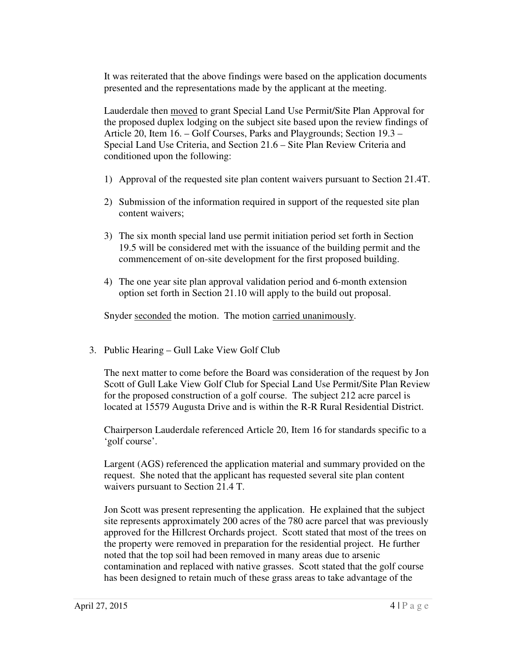It was reiterated that the above findings were based on the application documents presented and the representations made by the applicant at the meeting.

Lauderdale then **moved** to grant Special Land Use Permit/Site Plan Approval for the proposed duplex lodging on the subject site based upon the review findings of Article 20, Item 16. – Golf Courses, Parks and Playgrounds; Section 19.3 – Special Land Use Criteria, and Section 21.6 – Site Plan Review Criteria and conditioned upon the following:

- 1) Approval of the requested site plan content waivers pursuant to Section 21.4T.
- 2) Submission of the information required in support of the requested site plan content waivers;
- 3) The six month special land use permit initiation period set forth in Section 19.5 will be considered met with the issuance of the building permit and the commencement of on-site development for the first proposed building.
- 4) The one year site plan approval validation period and 6-month extension option set forth in Section 21.10 will apply to the build out proposal.

Snyder seconded the motion. The motion carried unanimously.

3. Public Hearing – Gull Lake View Golf Club

 The next matter to come before the Board was consideration of the request by Jon Scott of Gull Lake View Golf Club for Special Land Use Permit/Site Plan Review for the proposed construction of a golf course. The subject 212 acre parcel is located at 15579 Augusta Drive and is within the R-R Rural Residential District.

 Chairperson Lauderdale referenced Article 20, Item 16 for standards specific to a 'golf course'.

 Largent (AGS) referenced the application material and summary provided on the request. She noted that the applicant has requested several site plan content waivers pursuant to Section 21.4 T.

 Jon Scott was present representing the application. He explained that the subject site represents approximately 200 acres of the 780 acre parcel that was previously approved for the Hillcrest Orchards project. Scott stated that most of the trees on the property were removed in preparation for the residential project. He further noted that the top soil had been removed in many areas due to arsenic contamination and replaced with native grasses. Scott stated that the golf course has been designed to retain much of these grass areas to take advantage of the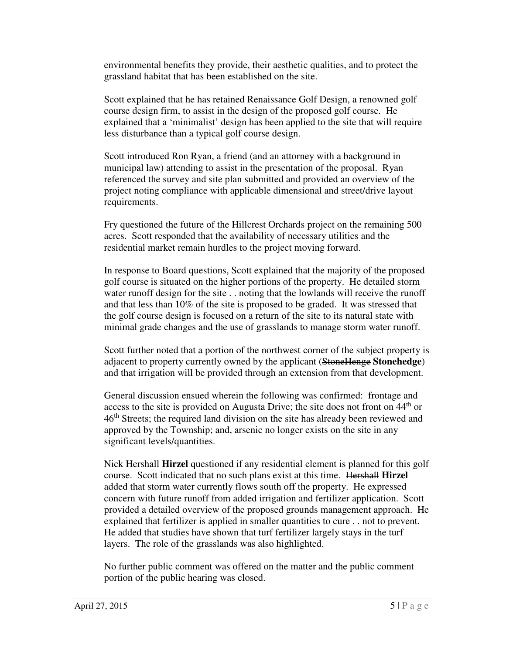environmental benefits they provide, their aesthetic qualities, and to protect the grassland habitat that has been established on the site.

 Scott explained that he has retained Renaissance Golf Design, a renowned golf course design firm, to assist in the design of the proposed golf course. He explained that a 'minimalist' design has been applied to the site that will require less disturbance than a typical golf course design.

 Scott introduced Ron Ryan, a friend (and an attorney with a background in municipal law) attending to assist in the presentation of the proposal. Ryan referenced the survey and site plan submitted and provided an overview of the project noting compliance with applicable dimensional and street/drive layout requirements.

requirements.<br>Fry questioned the future of the Hillcrest Orchards project on the remaining 500 acres. Scott responded that the availability of necessary utilities and the residential market remain hurdles to the project moving forward.

 In response to Board questions, Scott explained that the majority of the proposed golf course is situated on the higher portions of the property. He detailed storm water runoff design for the site . . noting that the lowlands will receive the runoff and that less than 10% of the site is proposed to be graded. It was stressed that the golf course design is focused on a return of the site to its natural state with minimal grade changes and the use of grasslands to manage storm water runoff.

 Scott further noted that a portion of the northwest corner of the subject property is adjacent to property currently owned by the applicant (StoneHenge **Stonehedge**) and that irrigation will be provided through an extension from that development.

 General discussion ensued wherein the following was confirmed: frontage and access to the site is provided on Augusta Drive; the site does not front on 44<sup>th</sup> or 46<sup>th</sup> Streets; the required land division on the site has already been reviewed and approved by the Township; and, arsenic no longer exists on the site in any significant levels/quantities.

 Nick Hershall **Hirzel** questioned if any residential element is planned for this golf course. Scott indicated that no such plans exist at this time. Hershall **Hirzel**  added that storm water currently flows south off the property. He expressed concern with future runoff from added irrigation and fertilizer application. Scott provided a detailed overview of the proposed grounds management approach. He explained that fertilizer is applied in smaller quantities to cure . . not to prevent. He added that studies have shown that turf fertilizer largely stays in the turf layers. The role of the grasslands was also highlighted.

 No further public comment was offered on the matter and the public comment portion of the public hearing was closed.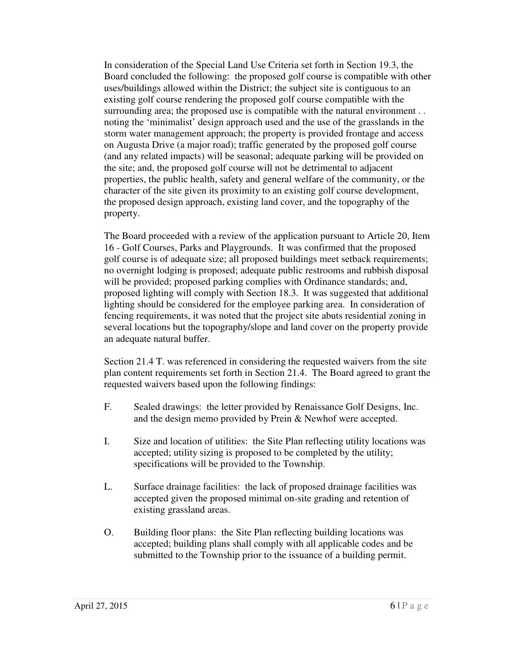In consideration of the Special Land Use Criteria set forth in Section 19.3, the Board concluded the following: the proposed golf course is compatible with other uses/buildings allowed within the District; the subject site is contiguous to an existing golf course rendering the proposed golf course compatible with the surrounding area; the proposed use is compatible with the natural environment . . noting the 'minimalist' design approach used and the use of the grasslands in the storm water management approach; the property is provided frontage and access on Augusta Drive (a major road); traffic generated by the proposed golf course (and any related impacts) will be seasonal; adequate parking will be provided on the site; and, the proposed golf course will not be detrimental to adjacent properties, the public health, safety and general welfare of the community, or the character of the site given its proximity to an existing golf course development, the proposed design approach, existing land cover, and the topography of the property.

property.<br>The Board proceeded with a review of the application pursuant to Article 20, Item 16 - Golf Courses, Parks and Playgrounds. It was confirmed that the proposed golf course is of adequate size; all proposed buildings meet setback requirements; no overnight lodging is proposed; adequate public restrooms and rubbish disposal will be provided; proposed parking complies with Ordinance standards; and, proposed lighting will comply with Section 18.3. It was suggested that additional lighting should be considered for the employee parking area. In consideration of fencing requirements, it was noted that the project site abuts residential zoning in several locations but the topography/slope and land cover on the property provide an adequate natural buffer.

 Section 21.4 T. was referenced in considering the requested waivers from the site plan content requirements set forth in Section 21.4. The Board agreed to grant the requested waivers based upon the following findings:

- $F_{\cdot}$  and the design memo provided by Prein & Newhof were accepted. Sealed drawings: the letter provided by Renaissance Golf Designs, Inc.
- I. Size and location of utilities: the Site Plan reflecting utility locations was accepted; utility sizing is proposed to be completed by the utility; specifications will be provided to the Township.
- $L.$  accepted given the proposed minimal on-site grading and retention of existing grassland areas. Surface drainage facilities: the lack of proposed drainage facilities was
- O. Building floor plans: the Site Plan reflecting building locations was accepted; building plans shall comply with all applicable codes and be submitted to the Township prior to the issuance of a building permit.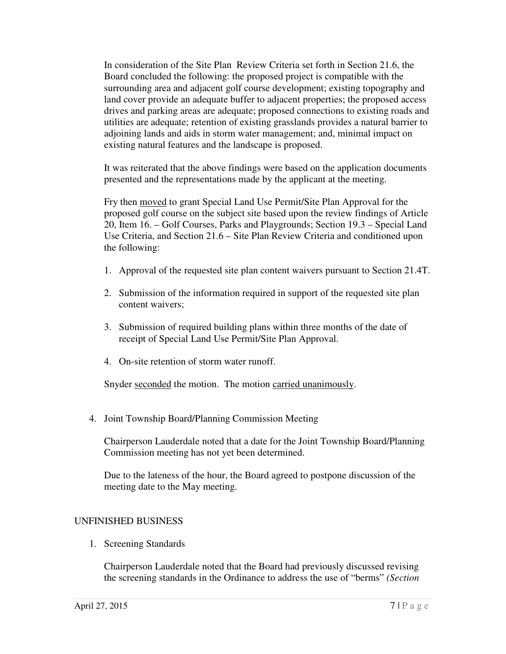In consideration of the Site Plan Review Criteria set forth in Section 21.6, the Board concluded the following: the proposed project is compatible with the surrounding area and adjacent golf course development; existing topography and land cover provide an adequate buffer to adjacent properties; the proposed access drives and parking areas are adequate; proposed connections to existing roads and utilities are adequate; retention of existing grasslands provides a natural barrier to adjoining lands and aids in storm water management; and, minimal impact on existing natural features and the landscape is proposed.

 It was reiterated that the above findings were based on the application documents presented and the representations made by the applicant at the meeting.

Fry then moved to grant Special Land Use Permit/Site Plan Approval for the proposed golf course on the subject site based upon the review findings of Article 20, Item 16. – Golf Courses, Parks and Playgrounds; Section 19.3 – Special Land Use Criteria, and Section 21.6 – Site Plan Review Criteria and conditioned upon the following:

- 1. Approval of the requested site plan content waivers pursuant to Section 21.4T.
- 2. Submission of the information required in support of the requested site plan content waivers;
- 3. Submission of required building plans within three months of the date of receipt of Special Land Use Permit/Site Plan Approval.
- 4. On-site retention of storm water runoff.

Snyder seconded the motion. The motion carried unanimously.

4. Joint Township Board/Planning Commission Meeting

 Chairperson Lauderdale noted that a date for the Joint Township Board/Planning Commission meeting has not yet been determined.

 Due to the lateness of the hour, the Board agreed to postpone discussion of the meeting date to the May meeting.

# UNFINISHED BUSINESS

1. Screening Standards

 Chairperson Lauderdale noted that the Board had previously discussed revising the screening standards in the Ordinance to address the use of "berms" *(Section*